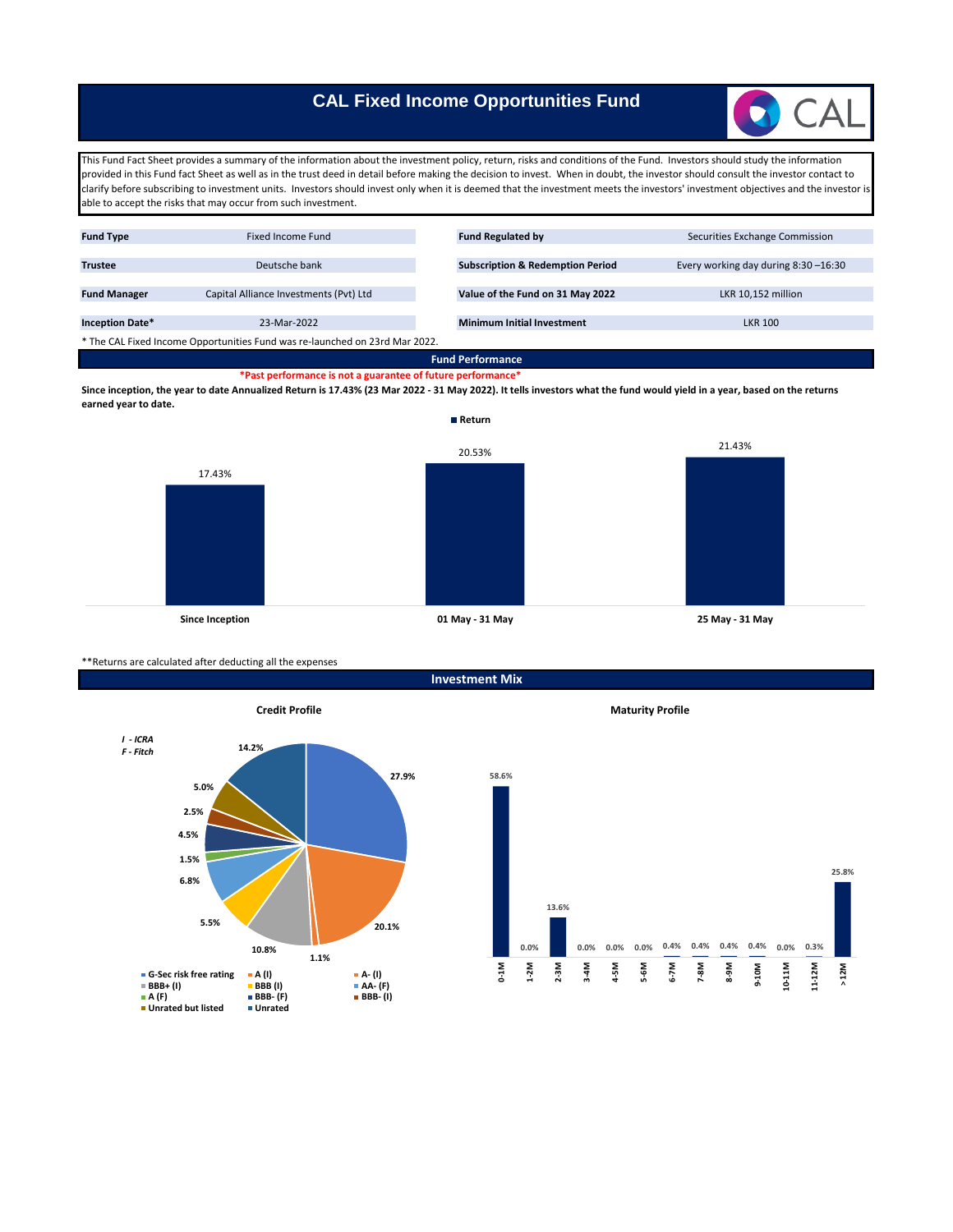# **CAL Fixed Income Opportunities Fund**



This Fund Fact Sheet provides a summary of the information about the investment policy, return, risks and conditions of the Fund. Investors should study the information provided in this Fund fact Sheet as well as in the trust deed in detail before making the decision to invest. When in doubt, the investor should consult the investor contact to clarify before subscribing to investment units. Investors should invest only when it is deemed that the investment meets the investors' investment objectives and the investor is able to accept the risks that may occur from such investment.

| <b>Fund Type</b>                                                            | Fixed Income Fund                      |  | <b>Fund Regulated by</b>                    | Securities Exchange Commission      |
|-----------------------------------------------------------------------------|----------------------------------------|--|---------------------------------------------|-------------------------------------|
|                                                                             |                                        |  |                                             |                                     |
| <b>Trustee</b>                                                              | Deutsche bank                          |  | <b>Subscription &amp; Redemption Period</b> | Every working day during 8:30-16:30 |
|                                                                             |                                        |  |                                             |                                     |
| <b>Fund Manager</b>                                                         | Capital Alliance Investments (Pvt) Ltd |  | Value of the Fund on 31 May 2022            | LKR 10,152 million                  |
|                                                                             |                                        |  |                                             |                                     |
| <b>Inception Date*</b>                                                      | 23-Mar-2022                            |  | <b>Minimum Initial Investment</b>           | <b>LKR 100</b>                      |
| * The CAL Fixed Income Opportunities Fund was re-launched on 23rd Mar 2022. |                                        |  |                                             |                                     |
| _____                                                                       |                                        |  |                                             |                                     |

**\*Past performance is not a guarantee of future performance\* Fund Performance**

**Since inception, the year to date Annualized Return is 17.43% (23 Mar 2022 - 31 May 2022). It tells investors what the fund would yield in a year, based on the returns earned year to date.**



\*\*Returns are calculated after deducting all the expenses